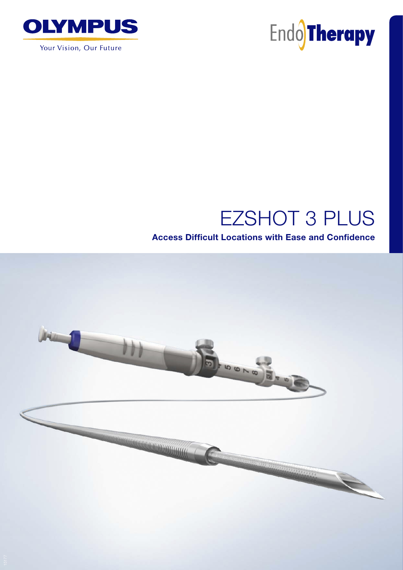

Your Vision, Our Future



# EZSHOT 3 PLUS

### Access Difficult Locations with Ease and Confidence

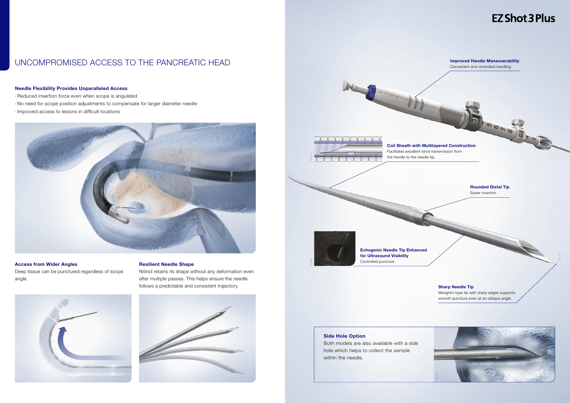#### Needle Flexibility Provides Unparalleled Access

- ∙ Reduced insertion force even when scope is angulated
- ∙ No need for scope position adjustments to compensate for larger diameter needle
- ∙ Improved access to lesions in difficult locations



### UNCOMPROMISED ACCESS TO THE PANCREATIC HEAD

#### Access from Wider Angles

Deep tissue can be punctured regardless of scope angle.



#### Resilient Needle Shape

Nitinol retains its shape without any deformation even after multiple passes. This helps ensure the needle follows a predictable and consistent trajectory.





#### Side Hole Option

Both models are also available with a side hole which helps to collect the sample within the needle.

## **EZ Shot 3 Plus**

2 a + El a 1 a 9

Improved Handle Maneuverability Convenient and controlled handling

Coil Sheath with Multilayered Construction Facilitates excellent force transmission from the handle to the needle tip.

15176

Rounded Distal Tip Easier insertion

#### Sharp Needle Tip

Menghini-type tip with sharp edges supports smooth puncture even at an oblique angle.





Echogenic Needle Tip Enhanced for Ultrasound Visibility Controlled puncture